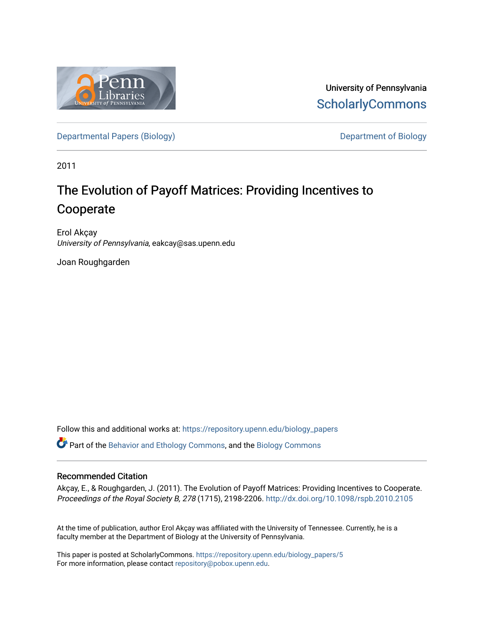

University of Pennsylvania **ScholarlyCommons** 

[Departmental Papers \(Biology\)](https://repository.upenn.edu/biology_papers) and Department of Biology

2011

# The Evolution of Payoff Matrices: Providing Incentives to Cooperate

Erol Akçay University of Pennsylvania, eakcay@sas.upenn.edu

Joan Roughgarden

Follow this and additional works at: [https://repository.upenn.edu/biology\\_papers](https://repository.upenn.edu/biology_papers?utm_source=repository.upenn.edu%2Fbiology_papers%2F5&utm_medium=PDF&utm_campaign=PDFCoverPages) 

Part of the [Behavior and Ethology Commons,](http://network.bepress.com/hgg/discipline/15?utm_source=repository.upenn.edu%2Fbiology_papers%2F5&utm_medium=PDF&utm_campaign=PDFCoverPages) and the [Biology Commons](http://network.bepress.com/hgg/discipline/41?utm_source=repository.upenn.edu%2Fbiology_papers%2F5&utm_medium=PDF&utm_campaign=PDFCoverPages)

# Recommended Citation

Akçay, E., & Roughgarden, J. (2011). The Evolution of Payoff Matrices: Providing Incentives to Cooperate. Proceedings of the Royal Society B, 278 (1715), 2198-2206. <http://dx.doi.org/10.1098/rspb.2010.2105>

At the time of publication, author Erol Akçay was affiliated with the University of Tennessee. Currently, he is a faculty member at the Department of Biology at the University of Pennsylvania.

This paper is posted at ScholarlyCommons. [https://repository.upenn.edu/biology\\_papers/5](https://repository.upenn.edu/biology_papers/5) For more information, please contact [repository@pobox.upenn.edu.](mailto:repository@pobox.upenn.edu)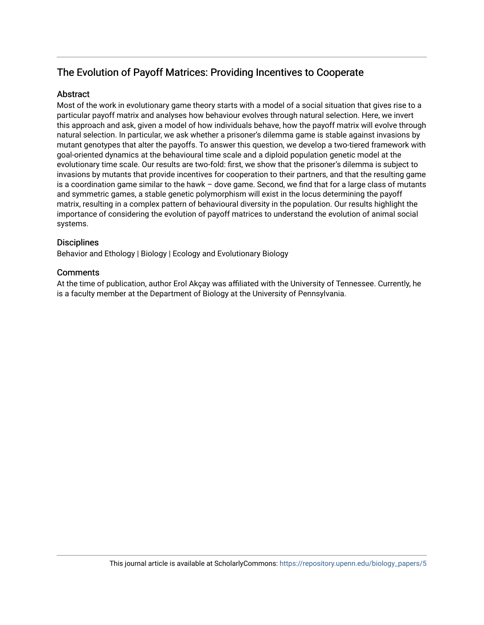# The Evolution of Payoff Matrices: Providing Incentives to Cooperate

# **Abstract**

Most of the work in evolutionary game theory starts with a model of a social situation that gives rise to a particular payoff matrix and analyses how behaviour evolves through natural selection. Here, we invert this approach and ask, given a model of how individuals behave, how the payoff matrix will evolve through natural selection. In particular, we ask whether a prisoner's dilemma game is stable against invasions by mutant genotypes that alter the payoffs. To answer this question, we develop a two-tiered framework with goal-oriented dynamics at the behavioural time scale and a diploid population genetic model at the evolutionary time scale. Our results are two-fold: first, we show that the prisoner's dilemma is subject to invasions by mutants that provide incentives for cooperation to their partners, and that the resulting game is a coordination game similar to the hawk – dove game. Second, we find that for a large class of mutants and symmetric games, a stable genetic polymorphism will exist in the locus determining the payoff matrix, resulting in a complex pattern of behavioural diversity in the population. Our results highlight the importance of considering the evolution of payoff matrices to understand the evolution of animal social systems.

# **Disciplines**

Behavior and Ethology | Biology | Ecology and Evolutionary Biology

# **Comments**

At the time of publication, author Erol Akçay was affiliated with the University of Tennessee. Currently, he is a faculty member at the Department of Biology at the University of Pennsylvania.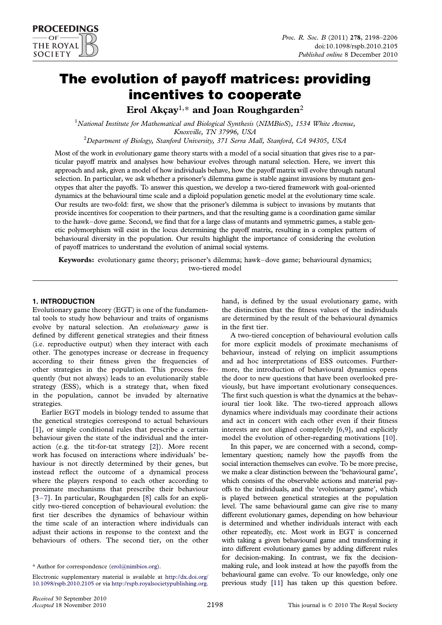# The evolution of payoff matrices: providing incentives to cooperate

Erol Akçay<sup>1,\*</sup> and Joan Roughgarden<sup>2</sup>

<sup>1</sup>National Institute for Mathematical and Biological Synthesis (NIMBioS), 1534 White Avenue, Knoxville, TN 37996, USA<br><sup>2</sup>Department of Biology, Stanford University, 371 Serra Mall, Stanford, CA 94305, USA

Most of the work in evolutionary game theory starts with a model of a social situation that gives rise to a particular payoff matrix and analyses how behaviour evolves through natural selection. Here, we invert this approach and ask, given a model of how individuals behave, how the payoff matrix will evolve through natural selection. In particular, we ask whether a prisoner's dilemma game is stable against invasions by mutant genotypes that alter the payoffs. To answer this question, we develop a two-tiered framework with goal-oriented dynamics at the behavioural time scale and a diploid population genetic model at the evolutionary time scale. Our results are two-fold: first, we show that the prisoner's dilemma is subject to invasions by mutants that provide incentives for cooperation to their partners, and that the resulting game is a coordination game similar to the hawk–dove game. Second, we find that for a large class of mutants and symmetric games, a stable genetic polymorphism will exist in the locus determining the payoff matrix, resulting in a complex pattern of behavioural diversity in the population. Our results highlight the importance of considering the evolution of payoff matrices to understand the evolution of animal social systems.

Keywords: evolutionary game theory; prisoner's dilemma; hawk–dove game; behavioural dynamics; two-tiered model

# 1. INTRODUCTION

Evolutionary game theory (EGT) is one of the fundamental tools to study how behaviour and traits of organisms evolve by natural selection. An evolutionary game is defined by different genetical strategies and their fitness (i.e. reproductive output) when they interact with each other. The genotypes increase or decrease in frequency according to their fitness given the frequencies of other strategies in the population. This process frequently (but not always) leads to an evolutionarily stable strategy (ESS), which is a strategy that, when fixed in the population, cannot be invaded by alternative strategies.

Earlier EGT models in biology tended to assume that the genetical strategies correspond to actual behaviours [\[1\]](#page-9-0), or simple conditional rules that prescribe a certain behaviour given the state of the individual and the interaction (e.g. the tit-for-tat strategy [[2](#page-9-0)]). More recent work has focused on interactions where individuals' behaviour is not directly determined by their genes, but instead reflect the outcome of a dynamical process where the players respond to each other according to proximate mechanisms that prescribe their behaviour [\[3](#page-9-0)–[7](#page-9-0)]. In particular, Roughgarden [[8\]](#page-9-0) calls for an explicitly two-tiered conception of behavioural evolution: the first tier describes the dynamics of behaviour within the time scale of an interaction where individuals can adjust their actions in response to the context and the behaviours of others. The second tier, on the other

hand, is defined by the usual evolutionary game, with the distinction that the fitness values of the individuals are determined by the result of the behavioural dynamics in the first tier.

A two-tiered conception of behavioural evolution calls for more explicit models of proximate mechanisms of behaviour, instead of relying on implicit assumptions and ad hoc interpretations of ESS outcomes. Furthermore, the introduction of behavioural dynamics opens the door to new questions that have been overlooked previously, but have important evolutionary consequences. The first such question is what the dynamics at the behavioural tier look like. The two-tiered approach allows dynamics where individuals may coordinate their actions and act in concert with each other even if their fitness interests are not aligned completely [\[6,9\]](#page-9-0), and explicitly model the evolution of other-regarding motivations [[10](#page-9-0)].

In this paper, we are concerned with a second, complementary question; namely how the payoffs from the social interaction themselves can evolve. To be more precise, we make a clear distinction between the 'behavioural game', which consists of the observable actions and material payoffs to the individuals, and the 'evolutionary game', which is played between genetical strategies at the population level. The same behavioural game can give rise to many different evolutionary games, depending on how behaviour is determined and whether individuals interact with each other repeatedly, etc. Most work in EGT is concerned with taking a given behavioural game and transforming it into different evolutionary games by adding different rules for decision-making. In contrast, we fix the decisionmaking rule, and look instead at how the payoffs from the behavioural game can evolve. To our knowledge, only one previous study [\[11](#page-9-0)] has taken up this question before.

<sup>\*</sup> Author for correspondence ([erol@nimbios.org\)](mailto:erol@nimbios.org).

Electronic supplementary material is available at [http://dx.doi.org/](http://dx.doi.org/10.1098/rspb.2010.2105) [10.1098/rspb.2010.2105](http://dx.doi.org/10.1098/rspb.2010.2105) or via <http://rspb.royalsocietypublishing.org>.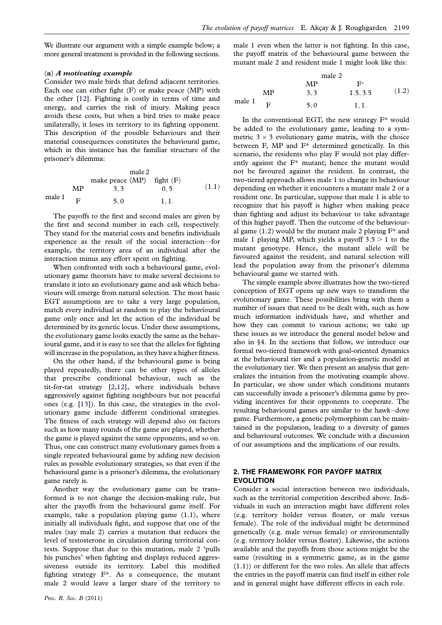We illustrate our argument with a simple example below; a more general treatment is provided in the following sections.

## (a) A motivating example

Consider two male birds that defend adjacent territories. Each one can either fight (F) or make peace (MP) with the other [\[12](#page-10-0)]. Fighting is costly in terms of time and energy, and carries the risk of injury. Making peace avoids these costs, but when a bird tries to make peace unilaterally, it loses its territory to its fighting opponent. This description of the possible behaviours and their material consequences constitutes the behavioural game, which in this instance has the familiar structure of the prisoner's dilemma:

|        |    | male 2                        |      |       |
|--------|----|-------------------------------|------|-------|
|        |    | make peace $(MP)$ fight $(F)$ |      |       |
|        | MP | 3.3                           | 0.5  | (1.1) |
| male 1 | F  | 5.0                           | 1.1. |       |

The payoffs to the first and second males are given by the first and second number in each cell, respectively. They stand for the material costs and benefits individuals experience as the result of the social interaction—for example, the territory area of an individual after the interaction minus any effort spent on fighting.

When confronted with such a behavioural game, evolutionary game theorists have to make several decisions to translate it into an evolutionary game and ask which behaviours will emerge from natural selection. The most basic EGT assumptions are to take a very large population, match every individual at random to play the behavioural game only once and let the action of the individual be determined by its genetic locus. Under these assumptions, the evolutionary game looks exactly the same as the behavioural game, and it is easy to see that the alleles for fighting will increase in the population, as they have a higher fitness.

On the other hand, if the behavioural game is being played repeatedly, there can be other types of alleles that prescribe conditional behaviour, such as the tit-for-tat strategy [\[2](#page-9-0)[,12\]](#page-10-0), where individuals behave aggressively against fighting neighbours but not peaceful ones (e.g. [\[13\]](#page-10-0)). In this case, the strategies in the evolutionary game include different conditional strategies. The fitness of each strategy will depend also on factors such as how many rounds of the game are played, whether the game is played against the same opponents, and so on. Thus, one can construct many evolutionary games from a single repeated behavioural game by adding new decision rules as possible evolutionary strategies, so that even if the behavioural game is a prisoner's dilemma, the evolutionary game rarely is.

Another way the evolutionary game can be transformed is to not change the decision-making rule, but alter the payoffs from the behavioural game itself. For example, take a population playing game (1.1), where initially all individuals fight, and suppose that one of the males (say male 2) carries a mutation that reduces the level of testosterone in circulation during territorial contests. Suppose that due to this mutation, male 2 'pulls his punches' when fighting and displays reduced aggressiveness outside its territory. Label this modified fighting strategy  $F^*$ . As a consequence, the mutant male 2 would leave a larger share of the territory to male 1 even when the latter is not fighting. In this case, the payoff matrix of the behavioural game between the mutant male 2 and resident male 1 might look like this:

|        |    | male 2 |                |       |
|--------|----|--------|----------------|-------|
|        |    | МP     | $\mathbf{F}^*$ |       |
|        | MP | 3,3    | 1.5, 3.5       | (1.2) |
| male 1 | Ħ  | 5.0    | 1, 1.          |       |

In the conventional EGT, the new strategy  $F^*$  would be added to the evolutionary game, leading to a symmetric  $3 \times 3$  evolutionary game matrix, with the choice between F, MP and F\* determined genetically. In this scenario, the residents who play F would not play differently against the F\* mutant; hence the mutant would not be favoured against the resident. In contrast, the two-tiered approach allows male 1 to change its behaviour depending on whether it encounters a mutant male 2 or a resident one. In particular, suppose that male 1 is able to recognize that his payoff is higher when making peace than fighting and adjust its behaviour to take advantage of this higher payoff. Then the outcome of the behavioural game  $(1.2)$  would be the mutant male 2 playing  $F^*$  and male 1 playing MP, which yields a payoff  $3.5 > 1$  to the mutant genotype. Hence, the mutant allele will be favoured against the resident, and natural selection will lead the population away from the prisoner's dilemma behavioural game we started with.

The simple example above illustrates how the two-tiered conception of EGT opens up new ways to transform the evolutionary game. These possibilities bring with them a number of issues that need to be dealt with, such as how much information individuals have, and whether and how they can commit to various actions; we take up these issues as we introduce the general model below and also in §4. In the sections that follow, we introduce our formal two-tiered framework with goal-oriented dynamics at the behavioural tier and a population-genetic model at the evolutionary tier. We then present an analysis that generalizes the intuition from the motivating example above. In particular, we show under which conditions mutants can successfully invade a prisoner's dilemma game by providing incentives for their opponents to cooperate. The resulting behavioural games are similar to the hawk–dove game. Furthermore, a genetic polymorphism can be maintained in the population, leading to a diversity of games and behavioural outcomes. We conclude with a discussion of our assumptions and the implications of our results.

# 2. THE FRAMEWORK FOR PAYOFF MATRIX EVOLUTION

Consider a social interaction between two individuals, such as the territorial competition described above. Individuals in such an interaction might have different roles (e.g. territory holder versus floater, or male versus female). The role of the individual might be determined genetically (e.g. male versus female) or environmentally (e.g. territory holder versus floater). Likewise, the actions available and the payoffs from those actions might be the same (resulting in a symmetric game, as in the game (1.1)) or different for the two roles. An allele that affects the entries in the payoff matrix can find itself in either role and in general might have different effects in each role.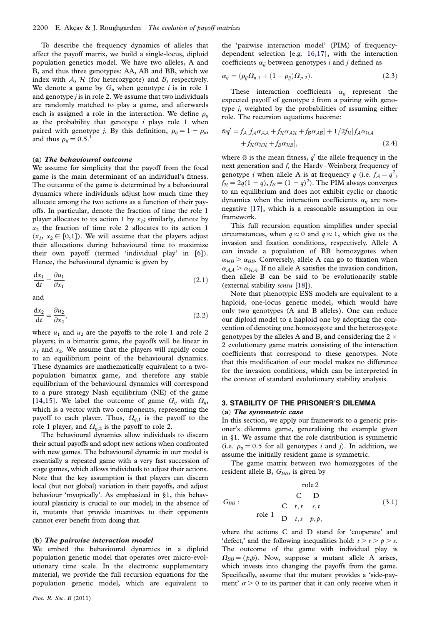To describe the frequency dynamics of alleles that affect the payoff matrix, we build a single-locus, diploid population genetics model. We have two alleles, A and B, and thus three genotypes: AA, AB and BB, which we index with  $A$ ,  $H$  (for heterozygote) and  $B$ , respectively. We denote a game by  $G_{ij}$  when genotype i is in role 1 and genotype  $j$  is in role 2. We assume that two individuals are randomly matched to play a game, and afterwards each is assigned a role in the interaction. We define  $\rho_{ii}$ as the probability that genotype  $i$  plays role 1 when paired with genotype *j*. By this definition,  $\rho_{ii} = 1 - \rho_{ii}$ , and thus  $\rho_{ii} = 0.5$ .<sup>[1](#page-9-0)</sup>

#### (a) The behavioural outcome

We assume for simplicity that the payoff from the focal game is the main determinant of an individual's fitness. The outcome of the game is determined by a behavioural dynamics where individuals adjust how much time they allocate among the two actions as a function of their payoffs. In particular, denote the fraction of time the role 1 player allocates to its action 1 by  $x_1$ ; similarly, denote by  $x_2$  the fraction of time role 2 allocates to its action 1  $(x_1, x_2 \in [0,1])$ . We will assume that the players adjust their allocations during behavioural time to maximize their own payoff (termed 'individual play' in [\[6\]](#page-9-0)). Hence, the behavioural dynamic is given by

$$
\frac{\mathrm{d}x_1}{\mathrm{d}t} = \frac{\partial u_1}{\partial x_1} \tag{2.1}
$$

and

$$
\frac{\mathrm{d}x_2}{\mathrm{d}t} = \frac{\partial u_2}{\partial x_2},\tag{2.2}
$$

where  $u_1$  and  $u_2$  are the payoffs to the role 1 and role 2 players; in a bimatrix game, the payoffs will be linear in  $x_1$  and  $x_2$ . We assume that the players will rapidly come to an equilibrium point of the behavioural dynamics. These dynamics are mathematically equivalent to a twopopulation bimatrix game, and therefore any stable equilibrium of the behavioural dynamics will correspond to a pure strategy Nash equilibrium (NE) of the game [\[14,15](#page-10-0)]. We label the outcome of game  $G_{ij}$  with  $\Omega_{ij}$ , which is a vector with two components, representing the payoff to each player. Thus,  $\Omega_{ii,1}$  is the payoff to the role 1 player, and  $\Omega_{ii,2}$  is the payoff to role 2.

The behavioural dynamics allow individuals to discern their actual payoffs and adopt new actions when confronted with new games. The behavioural dynamic in our model is essentially a repeated game with a very fast succession of stage games, which allows individuals to adjust their actions. Note that the key assumption is that players can discern local (but not global) variation in their payoffs, and adjust behaviour 'myopically'. As emphasized in §1, this behavioural plasticity is crucial to our model; in the absence of it, mutants that provide incentives to their opponents cannot ever benefit from doing that.

#### (b) The pairwise interaction model

We embed the behavioural dynamics in a diploid population genetic model that operates over micro-evolutionary time scale. In the electronic supplementary material, we provide the full recursion equations for the population genetic model, which are equivalent to the 'pairwise interaction model' (PIM) of frequencydependent selection [e.g. [16](#page-10-0),[17](#page-10-0)], with the interaction coefficients  $\alpha_{ij}$  between genotypes i and j defined as

$$
\alpha_{ij} = (\rho_{ij} \Omega_{ij,1} + (1 - \rho_{ij}) \Omega_{ji,2}). \tag{2.3}
$$

These interaction coefficients  $\alpha_{ij}$  represent the expected payoff of genotype  $i$  from a pairing with genotype  $i$ , weighted by the probabilities of assuming either role. The recursion equations become:

$$
\bar{w}q' = f_A[f_A\alpha_{AA} + f_H\alpha_{AH} + f_B\alpha_{AB}] + 1/2f_H[f_A\alpha_{HA} + f_H\alpha_{HH} + f_B\alpha_{HB}],
$$
\n(2.4)

where  $\bar{w}$  is the mean fitness,  $q'$  the allele frequency in the next generation and  $f_i$  the Hardy–Weinberg frequency of genotype *i* when allele A is at frequency *q* (i.e.  $f_A = q^2$  $f_A = q^2$ ,  $f_H = 2q(1-q), f_B = (1-q)^2$  $f_H = 2q(1-q), f_B = (1-q)^2$  $f_H = 2q(1-q), f_B = (1-q)^2$ . The PIM always converges to an equilibrium and does not exhibit cyclic or chaotic dynamics when the interaction coefficients  $\alpha_{ij}$  are nonnegative [\[17\]](#page-10-0), which is a reasonable assumption in our framework.

This full recursion equation simplifies under special circumstances, when  $q \approx 0$  and  $q \approx 1$ , which give us the invasion and fixation conditions, respectively. Allele A can invade a population of BB homozygotes when  $\alpha_{HB} > \alpha_{BB}$ . Conversely, allele A can go to fixation when  $\alpha_{AA} > \alpha_{H,A}$ . If no allele A satisfies the invasion condition, then allele B can be said to be evolutionarily stable (external stability sensu [[18](#page-10-0)]).

Note that phenotypic ESS models are equivalent to a haploid, one-locus genetic model, which would have only two genotypes (A and B alleles). One can reduce our diploid model to a haploid one by adopting the convention of denoting one homozygote and the heterozygote genotypes by the alleles A and B, and considering the 2  $\times$ 2 evolutionary game matrix consisting of the interaction coefficients that correspond to these genotypes. Note that this modification of our model makes no difference for the invasion conditions, which can be interpreted in the context of standard evolutionary stability analysis.

## 3. STABILITY OF THE PRISONER'S DILEMMA (a) The symmetric case

In this section, we apply our framework to a generic prisoner's dilemma game, generalizing the example given in §1. We assume that the role distribution is symmetric (i.e.  $\rho_{ij} = 0.5$  for all genotypes i and j). In addition, we assume the initially resident game is symmetric.

The game matrix between two homozygotes of the resident allele B,  $G_{BB}$ , is given by

role 2  
\n
$$
G_{BB}:
$$
\n
$$
C \t D
$$
\n
$$
C \t r, r \t s, t
$$
\n
$$
C \t D
$$
\n
$$
C \t f, r \t s, t
$$
\n
$$
D \t t, s \t p, p,
$$
\n
$$
(3.1)
$$

where the actions C and D stand for 'cooperate' and 'defect,' and the following inequalities hold:  $t > r > p > s$ . The outcome of the game with individual play is  $\Omega_{BB} = (p,p)$ . Now, suppose a mutant allele A arises, which invests into changing the payoffs from the game. Specifically, assume that the mutant provides a 'side-payment'  $\sigma > 0$  to its partner that it can only receive when it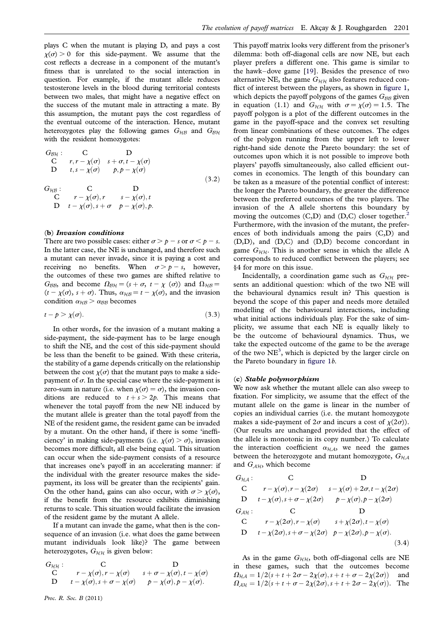plays C when the mutant is playing D, and pays a cost  $x(\sigma) > 0$  for this side-payment. We assume that the cost reflects a decrease in a component of the mutant's fitness that is unrelated to the social interaction in question. For example, if the mutant allele reduces testosterone levels in the blood during territorial contests between two males, that might have a negative effect on the success of the mutant male in attracting a mate. By this assumption, the mutant pays the cost regardless of the eventual outcome of the interaction. Hence, mutant heterozygotes play the following games  $G_{HR}$  and  $G_{BH}$ with the resident homozygotes:

$$
G_{\beta\mu} : C D
$$
  
\nC r, r -  $\chi(\sigma)$  s +  $\sigma$ , t -  $\chi(\sigma)$   
\nD t, s -  $\chi(\sigma)$  p, p -  $\chi(\sigma)$   
\n
$$
G_{\gamma\mu} : C D
$$
  
\nC r -  $\chi(\sigma)$ , r s -  $\chi(\sigma)$ , t  
\nD t -  $\chi(\sigma)$ , s +  $\sigma$  p -  $\chi(\sigma)$ , p. (3.2)

#### (b) Invasion conditions

There are two possible cases: either  $\sigma > p - s$  or  $\sigma < p - s$ . In the latter case, the NE is unchanged, and therefore such a mutant can never invade, since it is paying a cost and receiving no benefits. When  $\sigma > p - s$ , however, the outcomes of these two games are shifted relative to  $G_{BB}$ , and become  $\Omega_{BH} = (s + \sigma, t - \chi(\sigma))$  and  $\Omega_{HB} =$  $(t - \chi(\sigma), s + \sigma)$ . Thus,  $\alpha_{\mathcal{HB}} = t - \chi(\sigma)$ , and the invasion condition  $\alpha_{\mathcal{HB}} > \alpha_{\mathcal{BB}}$  becomes

$$
t - p > \chi(\sigma). \tag{3.3}
$$

In other words, for the invasion of a mutant making a side-payment, the side-payment has to be large enough to shift the NE, and the cost of this side-payment should be less than the benefit to be gained. With these criteria, the stability of a game depends critically on the relationship between the cost  $\chi(\sigma)$  that the mutant pays to make a sidepayment of  $\sigma$ . In the special case where the side-payment is zero-sum in nature (i.e. when  $\chi(\sigma) = \sigma$ ), the invasion conditions are reduced to  $t + s > 2p$ . This means that whenever the total payoff from the new NE induced by the mutant allele is greater than the total payoff from the NE of the resident game, the resident game can be invaded by a mutant. On the other hand, if there is some 'inefficiency' in making side-payments (i.e.  $\chi(\sigma) > \sigma$ ), invasion becomes more difficult, all else being equal. This situation can occur when the side-payment consists of a resource that increases one's payoff in an accelerating manner: if the individual with the greater resource makes the sidepayment, its loss will be greater than the recipients' gain. On the other hand, gains can also occur, with  $\sigma > \chi(\sigma)$ , if the benefit from the resource exhibits diminishing returns to scale. This situation would facilitate the invasion of the resident game by the mutant A allele.

If a mutant can invade the game, what then is the consequence of an invasion (i.e. what does the game between mutant individuals look like)? The game between heterozygotes,  $G_{\mathcal{H}\mathcal{H}}$  is given below:

GHH : C D C r <sup>x</sup>ðsÞ;r <sup>x</sup>ðsÞ s þ <sup>s</sup> <sup>x</sup>ðsÞ; t <sup>x</sup>ðsÞ D t <sup>x</sup>ðsÞ; s þ <sup>s</sup> <sup>x</sup>ðsÞ p <sup>x</sup>ðsÞ; p <sup>x</sup>ðsÞ:

This payoff matrix looks very different from the prisoner's dilemma: both off-diagonal cells are now NE, but each player prefers a different one. This game is similar to the hawk–dove game [\[19\]](#page-10-0). Besides the presence of two alternative NE, the game  $G_{\mathcal{H}\mathcal{H}}$  also features reduced conflict of interest between the players, as shown in [figure 1,](#page-6-0) which depicts the payoff polygons of the games  $G_{BB}$  given in equation (1.1) and  $G_{\mathcal{H}\mathcal{H}}$  with  $\sigma = \chi(\sigma) = 1.5$ . The payoff polygon is a plot of the different outcomes in the game in the payoff-space and the convex set resulting from linear combinations of these outcomes. The edges of the polygon running from the upper left to lower right-hand side denote the Pareto boundary: the set of outcomes upon which it is not possible to improve both players' payoffs simultaneously, also called efficient outcomes in economics. The length of this boundary can be taken as a measure of the potential conflict of interest: the longer the Pareto boundary, the greater the difference between the preferred outcomes of the two players. The invasion of the A allele shortens this boundary by moving the outcomes  $(C,D)$  and  $(D,C)$  closer together.<sup>[2](#page-9-0)</sup> Furthermore, with the invasion of the mutant, the preferences of both individuals among the pairs (C,D) and (D,D), and (D,C) and (D,D) become concordant in game  $G_{\mathcal{HH}}$ . This is another sense in which the allele A corresponds to reduced conflict between the players; see §4 for more on this issue.

Incidentally, a coordination game such as  $G_{HH}$  presents an additional question: which of the two NE will the behavioural dynamics result in? This question is beyond the scope of this paper and needs more detailed modelling of the behavioural interactions, including what initial actions individuals play. For the sake of simplicity, we assume that each NE is equally likely to be the outcome of behavioural dynamics. Thus, we take the expected outcome of the game to be the average of the two  $NE<sup>3</sup>$  $NE<sup>3</sup>$  $NE<sup>3</sup>$ , which is depicted by the larger circle on the Pareto boundary in [figure 1](#page-6-0)b.

# (c) Stable polymorphism

We now ask whether the mutant allele can also sweep to fixation. For simplicity, we assume that the effect of the mutant allele on the game is linear in the number of copies an individual carries (i.e. the mutant homozygote makes a side-payment of  $2\sigma$  and incurs a cost of  $\chi(2\sigma)$ ). (Our results are unchanged provided that the effect of the allele is monotonic in its copy number.) To calculate the interaction coefficient  $\alpha_{H,A}$ , we need the games between the heterozygote and mutant homozygote,  $G_{\mathcal{H} \mathcal{A}}$ and  $G_{\mathcal{AH}}$ , which become

$$
G_{\mathcal{H}\mathcal{A}}: \n\begin{array}{ccc}\n\mathbf{C} & \mathbf{D} \\
\mathbf{C} & r - \chi(\sigma), r - \chi(2\sigma) & s - \chi(\sigma) + 2\sigma, t - \chi(2\sigma) \\
\mathbf{D} & t - \chi(\sigma), s + \sigma - \chi(2\sigma) & p - \chi(\sigma), p - \chi(2\sigma) \\
G_{\mathcal{A}\mathcal{H}}: & \mathbf{C} & \mathbf{D} \\
\mathbf{C} & r - \chi(2\sigma), r - \chi(\sigma) & s + \chi(2\sigma), t - \chi(\sigma) \\
\mathbf{D} & t - \chi(2\sigma), s + \sigma - \chi(2\sigma) & p - \chi(2\sigma), p - \chi(\sigma).\n\end{array}
$$
\n(3.4)

As in the game  $G_{\mathcal{H}\mathcal{H}}$ , both off-diagonal cells are NE in these games, such that the outcomes become  $\Omega_{\mathcal{H}\mathcal{A}} = 1/2(s+t+2\sigma-2\chi(\sigma), s+t+\sigma-2\chi(2\sigma))$  and  $\Omega_{\mathcal{AH}} = 1/2(s + t + \sigma - 2\chi(2\sigma), s + t + 2\sigma - 2\chi(\sigma)).$  The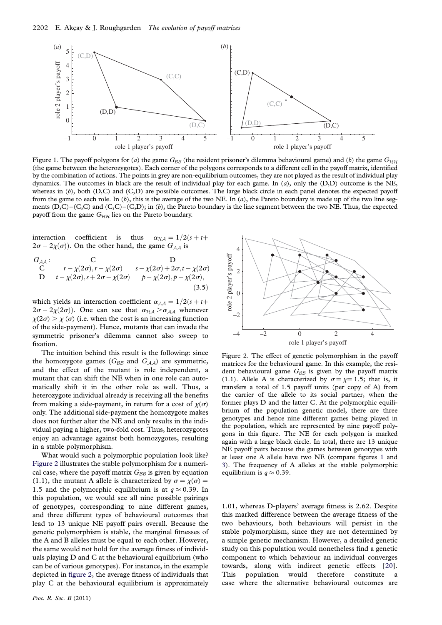<span id="page-6-0"></span>

Figure 1. The payoff polygons for (a) the game  $G_{BR}$  (the resident prisoner's dilemma behavioural game) and (b) the game  $G_{HH}$ (the game between the heterozygotes). Each corner of the polygons corresponds to a different cell in the payoff matrix, identified by the combination of actions. The points in grey are non-equilibrium outcomes, they are not played as the result of individual play dynamics. The outcomes in black are the result of individual play for each game. In  $(a)$ , only the  $(D,D)$  outcome is the NE, whereas in  $(b)$ , both  $(D,C)$  and  $(C,D)$  are possible outcomes. The large black circle in each panel denotes the expected payoff from the game to each role. In  $(b)$ , this is the average of the two NE. In  $(a)$ , the Pareto boundary is made up of the two line segments  $(D,C)$ –(C,C) and (C,C)–(C,D); in (b), the Pareto boundary is the line segment between the two NE. Thus, the expected payoff from the game  $G_{\mathcal{H}\mathcal{H}}$  lies on the Pareto boundary.

interaction coefficient is thus  $\alpha_{H,A} = 1/2(s + t +$  $2\sigma - 2\chi(\sigma)$ ). On the other hand, the game  $G_{\mathcal{A}\mathcal{A}}$  is

$$
G_{\mathcal{A}\mathcal{A}}: \n\begin{array}{ccc}\nG_{\mathcal{A}\mathcal{A}}: & \mathbf{C} & \mathbf{D} \\
\mathbf{C} & r-\chi(2\sigma), r-\chi(2\sigma) & s-\chi(2\sigma)+2\sigma, t-\chi(2\sigma) \\
\mathbf{D} & t-\chi(2\sigma), s+2\sigma-\chi(2\sigma) & p-\chi(2\sigma), p-\chi(2\sigma),\n\end{array} \n\tag{3.5}
$$

which yields an interaction coefficient  $\alpha_{AA} = 1/2(s + t +$  $2\sigma - 2\chi(2\sigma)$ ). One can see that  $\alpha_{H,A} > \alpha_{A,A}$  whenever  $\chi(2\sigma) > \chi(\sigma)$  (i.e. when the cost is an increasing function of the side-payment). Hence, mutants that can invade the symmetric prisoner's dilemma cannot also sweep to fixation.

The intuition behind this result is the following: since the homozygote games ( $G_{BB}$  and  $G_{AA}$ ) are symmetric, and the effect of the mutant is role independent, a mutant that can shift the NE when in one role can automatically shift it in the other role as well. Thus, a heterozygote individual already is receiving all the benefits from making a side-payment, in return for a cost of  $\chi(\sigma)$ only. The additional side-payment the homozygote makes does not further alter the NE and only results in the individual paying a higher, two-fold cost. Thus, heterozygotes enjoy an advantage against both homozygotes, resulting in a stable polymorphism.

What would such a polymorphic population look like? Figure 2 illustrates the stable polymorphism for a numerical case, where the payoff matrix  $G_{BB}$  is given by equation (1.1), the mutant A allele is characterized by  $\sigma = \chi(\sigma)$  = 1.5 and the polymorphic equilibrium is at  $q \approx 0.39$ . In this population, we would see all nine possible pairings of genotypes, corresponding to nine different games, and three different types of behavioural outcomes that lead to 13 unique NE payoff pairs overall. Because the genetic polymorphism is stable, the marginal fitnesses of the A and B alleles must be equal to each other. However, the same would not hold for the average fitness of individuals playing D and C at the behavioural equilibrium (who can be of various genotypes). For instance, in the example depicted in figure 2, the average fitness of individuals that play C at the behavioural equilibrium is approximately



Figure 2. The effect of genetic polymorphism in the payoff matrices for the behavioural game. In this example, the resident behavioural game  $G_{BB}$  is given by the payoff matrix (1.1). Allele A is characterized by  $\sigma = \gamma = 1.5$ ; that is, it transfers a total of 1.5 payoff units (per copy of A) from the carrier of the allele to its social partner, when the former plays D and the latter C. At the polymorphic equilibrium of the population genetic model, there are three genotypes and hence nine different games being played in the population, which are represented by nine payoff polygons in this figure. The NE for each polygon is marked again with a large black circle. In total, there are 13 unique NE payoff pairs because the games between genotypes with at least one A allele have two NE (compare figures 1 and [3\)](#page-7-0). The frequency of A alleles at the stable polymorphic equilibrium is  $q \approx 0.39$ .

1.01, whereas D-players' average fitness is 2.62. Despite this marked difference between the average fitness of the two behaviours, both behaviours will persist in the stable polymorphism, since they are not determined by a simple genetic mechanism. However, a detailed genetic study on this population would nonetheless find a genetic component to which behaviour an individual converges towards, along with indirect genetic effects [[20](#page-10-0)]. This population would therefore constitute case where the alternative behavioural outcomes are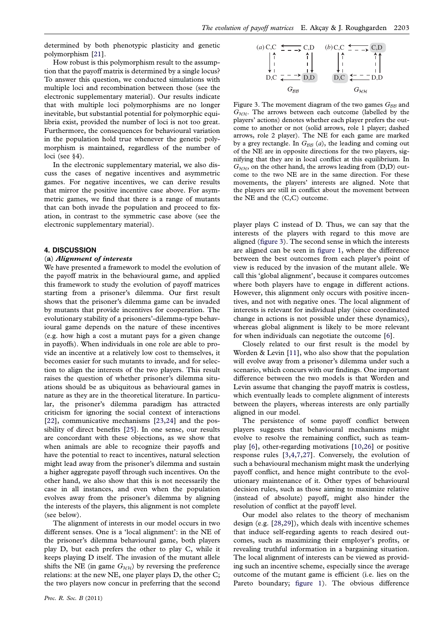<span id="page-7-0"></span>determined by both phenotypic plasticity and genetic polymorphism [\[21\]](#page-10-0).

How robust is this polymorphism result to the assumption that the payoff matrix is determined by a single locus? To answer this question, we conducted simulations with multiple loci and recombination between those (see the electronic supplementary material). Our results indicate that with multiple loci polymorphisms are no longer inevitable, but substantial potential for polymorphic equilibria exist, provided the number of loci is not too great. Furthermore, the consequences for behavioural variation in the population hold true whenever the genetic polymorphism is maintained, regardless of the number of loci (see §4).

In the electronic supplementary material, we also discuss the cases of negative incentives and asymmetric games. For negative incentives, we can derive results that mirror the positive incentive case above. For asymmetric games, we find that there is a range of mutants that can both invade the population and proceed to fixation, in contrast to the symmetric case above (see the electronic supplementary material).

## 4. DISCUSSION

## (a) Alignment of interests

We have presented a framework to model the evolution of the payoff matrix in the behavioural game, and applied this framework to study the evolution of payoff matrices starting from a prisoner's dilemma. Our first result shows that the prisoner's dilemma game can be invaded by mutants that provide incentives for cooperation. The evolutionary stability of a prisoners'-dilemma-type behavioural game depends on the nature of these incentives (e.g. how high a cost a mutant pays for a given change in payoffs). When individuals in one role are able to provide an incentive at a relatively low cost to themselves, it becomes easier for such mutants to invade, and for selection to align the interests of the two players. This result raises the question of whether prisoner's dilemma situations should be as ubiquitous as behavioural games in nature as they are in the theoretical literature. In particular, the prisoner's dilemma paradigm has attracted criticism for ignoring the social context of interactions [\[22\]](#page-10-0), communicative mechanisms [\[23,24\]](#page-10-0) and the possibility of direct benefits [[25](#page-10-0)]. In one sense, our results are concordant with these objections, as we show that when animals are able to recognize their payoffs and have the potential to react to incentives, natural selection might lead away from the prisoner's dilemma and sustain a higher aggregate payoff through such incentives. On the other hand, we also show that this is not necessarily the case in all instances, and even when the population evolves away from the prisoner's dilemma by aligning the interests of the players, this alignment is not complete (see below).

The alignment of interests in our model occurs in two different senses. One is a 'local alignment': in the NE of the prisoner's dilemma behavioural game, both players play D, but each prefers the other to play C, while it keeps playing D itself. The invasion of the mutant allele shifts the NE (in game  $G_{HH}$ ) by reversing the preference relations: at the new NE, one player plays D, the other C; the two players now concur in preferring that the second



Figure 3. The movement diagram of the two games  $G_{BB}$  and  $G_{\mathcal{H}\mathcal{H}}$ . The arrows between each outcome (labelled by the players' actions) denotes whether each player prefers the outcome to another or not (solid arrows, role 1 player; dashed arrows, role 2 player). The NE for each game are marked by a grey rectangle. In  $G_{BB} (a)$ , the leading and coming out of the NE are in opposite directions for the two players, signifying that they are in local conflict at this equilibrium. In  $G_{\mathcal{H}\mathcal{H}}$ , on the other hand, the arrows leading from (D,D) outcome to the two NE are in the same direction. For these movements, the players' interests are aligned. Note that the players are still in conflict about the movement between the NE and the (C,C) outcome.

player plays C instead of D. Thus, we can say that the interests of the players with regard to this move are aligned (figure 3). The second sense in which the interests are aligned can be seen in [figure 1](#page-6-0), where the difference between the best outcomes from each player's point of view is reduced by the invasion of the mutant allele. We call this 'global alignment', because it compares outcomes where both players have to engage in different actions. However, this alignment only occurs with positive incentives, and not with negative ones. The local alignment of interests is relevant for individual play (since coordinated change in actions is not possible under these dynamics), whereas global alignment is likely to be more relevant for when individuals can negotiate the outcome [\[6\]](#page-9-0).

Closely related to our first result is the model by Worden & Levin [[11](#page-9-0)], who also show that the population will evolve away from a prisoner's dilemma under such a scenario, which concurs with our findings. One important difference between the two models is that Worden and Levin assume that changing the payoff matrix is costless, which eventually leads to complete alignment of interests between the players, whereas interests are only partially aligned in our model.

The persistence of some payoff conflict between players suggests that behavioural mechanisms might evolve to resolve the remaining conflict, such as teamplay [[6\]](#page-9-0), other-regarding motivations [[10](#page-9-0)[,26\]](#page-10-0) or positive response rules [[3,4](#page-9-0),[7,](#page-9-0)[27](#page-10-0)]. Conversely, the evolution of such a behavioural mechanism might mask the underlying payoff conflict, and hence might contribute to the evolutionary maintenance of it. Other types of behavioural decision rules, such as those aiming to maximize relative (instead of absolute) payoff, might also hinder the resolution of conflict at the payoff level.

Our model also relates to the theory of mechanism design (e.g. [[28](#page-10-0),[29](#page-10-0)]), which deals with incentive schemes that induce self-regarding agents to reach desired outcomes, such as maximizing their employer's profits, or revealing truthful information in a bargaining situation. The local alignment of interests can be viewed as providing such an incentive scheme, especially since the average outcome of the mutant game is efficient (i.e. lies on the Pareto boundary; [figure 1\)](#page-6-0). The obvious difference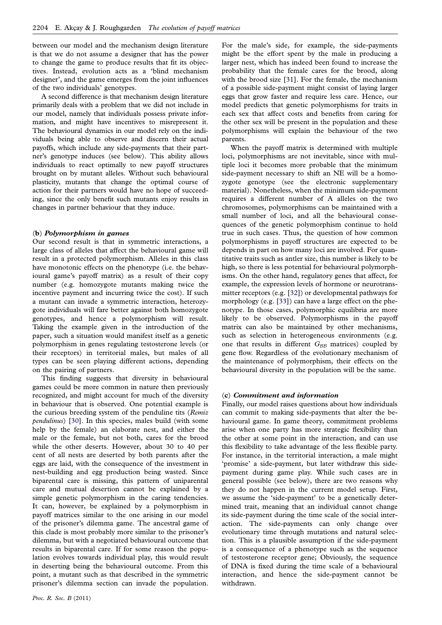between our model and the mechanism design literature is that we do not assume a designer that has the power to change the game to produce results that fit its objectives. Instead, evolution acts as a 'blind mechanism designer', and the game emerges from the joint influences of the two individuals' genotypes.

A second difference is that mechanism design literature primarily deals with a problem that we did not include in our model, namely that individuals possess private information, and might have incentives to misrepresent it. The behavioural dynamics in our model rely on the individuals being able to observe and discern their actual payoffs, which include any side-payments that their partner's genotype induces (see below). This ability allows individuals to react optimally to new payoff structures brought on by mutant alleles. Without such behavioural plasticity, mutants that change the optimal course of action for their partners would have no hope of succeeding, since the only benefit such mutants enjoy results in changes in partner behaviour that they induce.

## (b) Polymorphism in games

Our second result is that in symmetric interactions, a large class of alleles that affect the behavioural game will result in a protected polymorphism. Alleles in this class have monotonic effects on the phenotype (i.e. the behavioural game's payoff matrix) as a result of their copy number (e.g. homozygote mutants making twice the incentive payment and incurring twice the cost). If such a mutant can invade a symmetric interaction, heterozygote individuals will fare better against both homozygote genotypes, and hence a polymorphism will result. Taking the example given in the introduction of the paper, such a situation would manifest itself as a genetic polymorphism in genes regulating testosterone levels (or their receptors) in territorial males, but males of all types can be seen playing different actions, depending on the pairing of partners.

This finding suggests that diversity in behavioural games could be more common in nature then previously recognized, and might account for much of the diversity in behaviour that is observed. One potential example is the curious breeding system of the penduline tits (Remiz pendulinus) [[30](#page-10-0)]. In this species, males build (with some help by the female) an elaborate nest, and either the male or the female, but not both, cares for the brood while the other deserts. However, about 30 to 40 per cent of all nests are deserted by both parents after the eggs are laid, with the consequence of the investment in nest-building and egg production being wasted. Since biparental care is missing, this pattern of uniparental care and mutual desertion cannot be explained by a simple genetic polymorphism in the caring tendencies. It can, however, be explained by a polymorphism in payoff matrices similar to the one arising in our model of the prisoner's dilemma game. The ancestral game of this clade is most probably more similar to the prisoner's dilemma, but with a negotiated behavioural outcome that results in biparental care. If for some reason the population evolves towards individual play, this would result in deserting being the behavioural outcome. From this point, a mutant such as that described in the symmetric prisoner's dilemma section can invade the population.

For the male's side, for example, the side-payments might be the effort spent by the male in producing a larger nest, which has indeed been found to increase the probability that the female cares for the brood, along with the brood size [\[31\]](#page-10-0). For the female, the mechanism of a possible side-payment might consist of laying larger eggs that grow faster and require less care. Hence, our model predicts that genetic polymorphisms for traits in each sex that affect costs and benefits from caring for the other sex will be present in the population and these polymorphisms will explain the behaviour of the two parents.

When the payoff matrix is determined with multiple loci, polymorphisms are not inevitable, since with multiple loci it becomes more probable that the minimum side-payment necessary to shift an NE will be a homozygote genotype (see the electronic supplementary material). Nonetheless, when the minimum side-payment requires a different number of A alleles on the two chromosomes, polymorphisms can be maintained with a small number of loci, and all the behavioural consequences of the genetic polymorphism continue to hold true in such cases. Thus, the question of how common polymorphisms in payoff structures are expected to be depends in part on how many loci are involved. For quantitative traits such as antler size, this number is likely to be high, so there is less potential for behavioural polymorphisms. On the other hand, regulatory genes that affect, for example, the expression levels of hormone or neurotransmitter receptors (e.g. [[32](#page-10-0)]) or developmental pathways for morphology (e.g. [[33](#page-10-0)]) can have a large effect on the phenotype. In those cases, polymorphic equilibria are more likely to be observed. Polymorphisms in the payoff matrix can also be maintained by other mechanisms, such as selection in heterogeneous environments (e.g. one that results in different  $G_{BB}$  matrices) coupled by gene flow. Regardless of the evolutionary mechanism of the maintenance of polymorphism, their effects on the behavioural diversity in the population will be the same.

## (c) Commitment and information

Finally, our model raises questions about how individuals can commit to making side-payments that alter the behavioural game. In game theory, commitment problems arise when one party has more strategic flexibility than the other at some point in the interaction, and can use this flexibility to take advantage of the less flexible party. For instance, in the territorial interaction, a male might 'promise' a side-payment, but later withdraw this sidepayment during game play. While such cases are in general possible (see below), there are two reasons why they do not happen in the current model setup. First, we assume the 'side-payment' to be a genetically determined trait, meaning that an individual cannot change its side-payment during the time scale of the social interaction. The side-payments can only change over evolutionary time through mutations and natural selection. This is a plausible assumption if the side-payment is a consequence of a phenotype such as the sequence of testosterone receptor gene; Obviously, the sequence of DNA is fixed during the time scale of a behavioural interaction, and hence the side-payment cannot be withdrawn.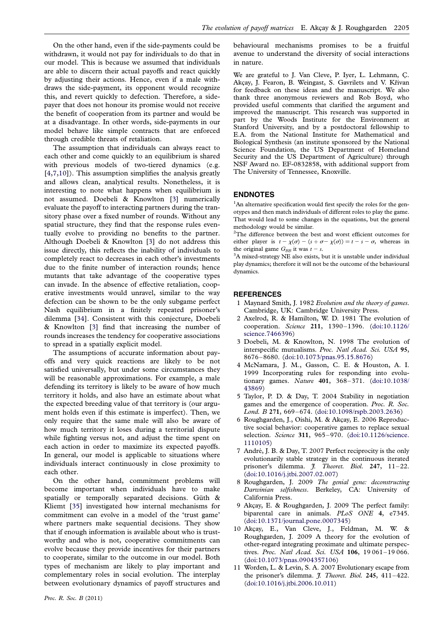<span id="page-9-0"></span>On the other hand, even if the side-payments could be withdrawn, it would not pay for individuals to do that in our model. This is because we assumed that individuals are able to discern their actual payoffs and react quickly by adjusting their actions. Hence, even if a male withdraws the side-payment, its opponent would recognize this, and revert quickly to defection. Therefore, a sidepayer that does not honour its promise would not receive the benefit of cooperation from its partner and would be at a disadvantage. In other words, side-payments in our model behave like simple contracts that are enforced through credible threats of retaliation.

The assumption that individuals can always react to each other and come quickly to an equilibrium is shared with previous models of two-tiered dynamics (e.g. [4,7,10]). This assumption simplifies the analysis greatly and allows clean, analytical results. Nonetheless, it is interesting to note what happens when equilibrium is not assumed. Doebeli & Knowlton [3] numerically evaluate the payoff to interacting partners during the transitory phase over a fixed number of rounds. Without any spatial structure, they find that the response rules eventually evolve to providing no benefits to the partner. Although Doebeli & Knowlton [3] do not address this issue directly, this reflects the inability of individuals to completely react to decreases in each other's investments due to the finite number of interaction rounds; hence mutants that take advantage of the cooperative types can invade. In the absence of effective retaliation, cooperative investments would unravel, similar to the way defection can be shown to be the only subgame perfect Nash equilibrium in a finitely repeated prisoner's dilemma [\[34\]](#page-10-0). Consistent with this conjecture, Doebeli & Knowlton [3] find that increasing the number of rounds increases the tendency for cooperative associations to spread in a spatially explicit model.

The assumptions of accurate information about payoffs and very quick reactions are likely to be not satisfied universally, but under some circumstances they will be reasonable approximations. For example, a male defending its territory is likely to be aware of how much territory it holds, and also have an estimate about what the expected breeding value of that territory is (our argument holds even if this estimate is imperfect). Then, we only require that the same male will also be aware of how much territory it loses during a territorial dispute while fighting versus not, and adjust the time spent on each action in order to maximize its expected payoffs. In general, our model is applicable to situations where individuals interact continuously in close proximity to each other.

On the other hand, commitment problems will become important when individuals have to make spatially or temporally separated decisions. Güth  $\&$ Kliemt [[35](#page-10-0)] investigated how internal mechanisms for commitment can evolve in a model of the 'trust game' where partners make sequential decisions. They show that if enough information is available about who is trustworthy and who is not, cooperative commitments can evolve because they provide incentives for their partners to cooperate, similar to the outcome in our model. Both types of mechanism are likely to play important and complementary roles in social evolution. The interplay between evolutionary dynamics of payoff structures and behavioural mechanisms promises to be a fruitful avenue to understand the diversity of social interactions in nature.

We are grateful to J. Van Cleve, P. Iver, L. Lehmann, C. Akçay, J. Fearon, B. Weingast, S. Gavrilets and V. Křivan for feedback on these ideas and the manuscript. We also thank three anonymous reviewers and Rob Boyd, who provided useful comments that clarified the argument and improved the manuscript. This research was supported in part by the Woods Institute for the Environment at Stanford University, and by a postdoctoral fellowship to E.A. from the National Institute for Mathematical and Biological Synthesis (an institute sponsored by the National Science Foundation, the US Department of Homeland Security and the US Department of Agriculture) through NSF Award no. EF-0832858, with additional support from The University of Tennessee, Knoxville.

# ENDNOTES

<sup>1</sup>An alternative specification would first specify the roles for the genotypes and then match individuals of different roles to play the game. That would lead to some changes in the equations, but the general methodology would be similar.

<sup>2</sup>The difference between the best and worst efficient outcomes for either player is  $t - \chi(\sigma) - (s + \sigma - \chi(\sigma)) = t - s - \sigma$ , whereas in the original game  $G_{BB}$  it was  $t - s$ .

 ${}^{3}$ A mixed-strategy NE also exists, but it is unstable under individual play dynamics; therefore it will not be the outcome of the behavioural dynamics.

## **REFERENCES**

- 1 Maynard Smith, J. 1982 Evolution and the theory of games. Cambridge, UK: Cambridge University Press.
- 2 Axelrod, R. & Hamilton, W. D. 1981 The evolution of cooperation. Science 211, 1390–1396. ([doi:10.1126/](http://dx.doi.org/doi:10.1126/science.7466396) [science.7466396\)](http://dx.doi.org/doi:10.1126/science.7466396)
- 3 Doebeli, M. & Knowlton, N. 1998 The evolution of interspecific mutualisms. Proc. Natl Acad. Sci. USA 95, 8676–8680. ([doi:10.1073/pnas.95.15.8676](http://dx.doi.org/doi:10.1073/pnas.95.15.8676))
- 4 McNamara, J. M., Gasson, C. E. & Houston, A. I. 1999 Incorporating rules for responding into evolutionary games. Nature 401, 368–371. ([doi:10.1038/](http://dx.doi.org/doi:10.1038/43869) [43869](http://dx.doi.org/doi:10.1038/43869))
- 5 Taylor, P. D. & Day, T. 2004 Stability in negotiation games and the emergence of cooperation. Proc. R. Soc. Lond. B 271, 669–674. ([doi:10.1098/rspb.2003.2636](http://dx.doi.org/doi:10.1098/rspb.2003.2636))
- 6 Roughgarden, J., Oishi, M. & Akçay, E. 2006 Reproductive social behavior: cooperative games to replace sexual selection. Science 311, 965-970. ([doi:10.1126/science.](http://dx.doi.org/doi:10.1126/science.1110105) [1110105](http://dx.doi.org/doi:10.1126/science.1110105))
- 7 André, J. B. & Day, T. 2007 Perfect reciprocity is the only evolutionarily stable strategy in the continuous iterated prisoner's dilemma. J. Theoret. Biol. 247, 11-22. ([doi:10.1016/j.jtbi.2007.02.007](http://dx.doi.org/doi:10.1016/j.jtbi.2007.02.007))
- 8 Roughgarden, J. 2009 The genial gene: deconstructing Darwinian selfishness. Berkeley, CA: University of California Press.
- 9 Akçay, E. & Roughgarden, J. 2009 The perfect family: biparental care in animals. PLoS ONE 4, e7345. ([doi:10.1371/journal.pone.0007345](http://dx.doi.org/doi:10.1371/journal.pone.0007345))
- 10 Akçay, E., Van Cleve, J., Feldman, M. W. & Roughgarden, J. 2009 A theory for the evolution of other-regard integrating proximate and ultimate perspectives. Proc. Natl Acad. Sci. USA 106, 19061-19066. [\(doi:10.1073/pnas.0904357106\)](http://dx.doi.org/doi:10.1073/pnas.0904357106)
- 11 Worden, L. & Levin, S. A. 2007 Evolutionary escape from the prisoner's dilemma. *J. Theoret. Biol.* 245, 411-422. [\(doi:10.1016/j.jtbi.2006.10.011\)](http://dx.doi.org/doi:10.1016/j.jtbi.2006.10.011)